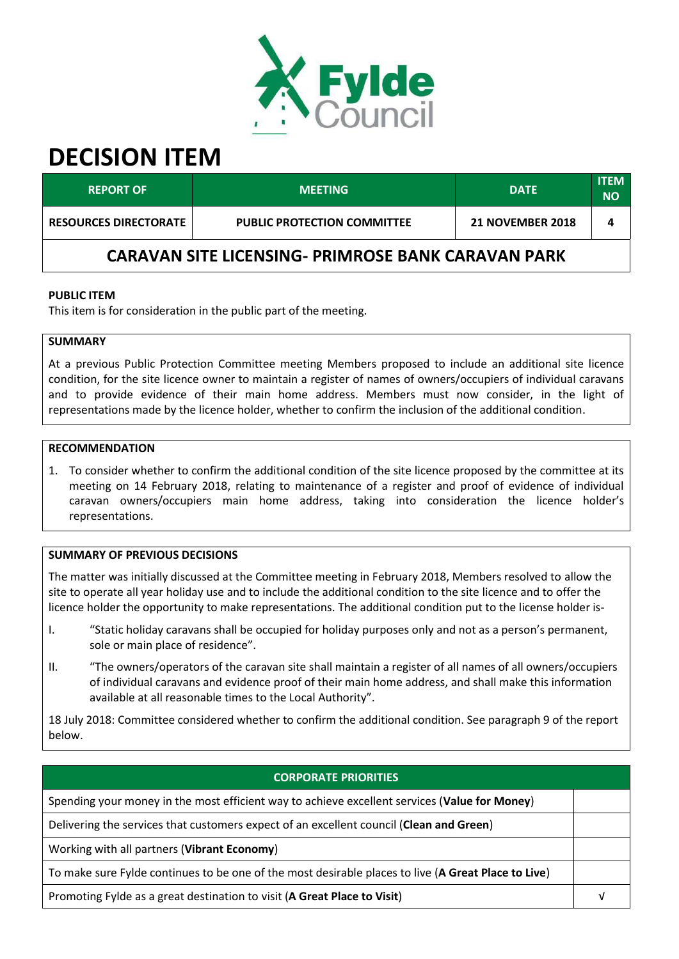

# **DECISION ITEM**

| <b>REPORT OF</b>                                          | <b>MEETING</b>                     | <b>DATE</b>             | <b>ITEM</b><br><b>NO</b> |  |  |
|-----------------------------------------------------------|------------------------------------|-------------------------|--------------------------|--|--|
| <b>RESOURCES DIRECTORATE</b>                              | <b>PUBLIC PROTECTION COMMITTEE</b> | <b>21 NOVEMBER 2018</b> | Δ                        |  |  |
| <b>CARAVAN SITE LICENSING- PRIMROSE BANK CARAVAN PARK</b> |                                    |                         |                          |  |  |

#### **PUBLIC ITEM**

This item is for consideration in the public part of the meeting.

# **SUMMARY**

At a previous Public Protection Committee meeting Members proposed to include an additional site licence condition, for the site licence owner to maintain a register of names of owners/occupiers of individual caravans and to provide evidence of their main home address. Members must now consider, in the light of representations made by the licence holder, whether to confirm the inclusion of the additional condition.

#### **RECOMMENDATION**

1. To consider whether to confirm the additional condition of the site licence proposed by the committee at its meeting on 14 February 2018, relating to maintenance of a register and proof of evidence of individual caravan owners/occupiers main home address, taking into consideration the licence holder's representations.

#### **SUMMARY OF PREVIOUS DECISIONS**

The matter was initially discussed at the Committee meeting in February 2018, Members resolved to allow the site to operate all year holiday use and to include the additional condition to the site licence and to offer the licence holder the opportunity to make representations. The additional condition put to the license holder is-

- "Static holiday caravans shall be occupied for holiday purposes only and not as a person's permanent,  $\mathbf{I}$ . sole or main place of residence".
- "The owners/operators of the caravan site shall maintain a register of all names of all owners/occupiers ΙΙ. of individual caravans and evidence proof of their main home address, and shall make this information available at all reasonable times to the Local Authority".

18 July 2018: Committee considered whether to confirm the additional condition. See paragraph 9 of the report below.

#### **CORPORATE PRIORITIES**

 $\sqrt{ }$ 

Spending your money in the most efficient way to achieve excellent services (Value for Money)

Delivering the services that customers expect of an excellent council (Clean and Green)

Working with all partners (Vibrant Economy)

To make sure Fylde continues to be one of the most desirable places to live (A Great Place to Live)

Promoting Fylde as a great destination to visit (A Great Place to Visit)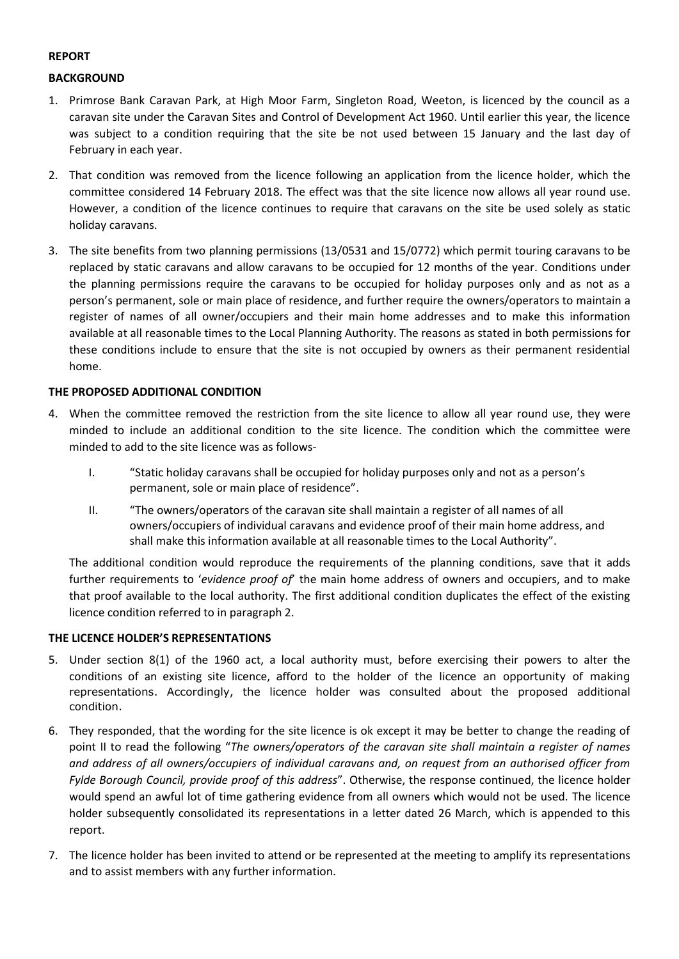# **REPORT**

# **BACKGROUND**

- 1. Primrose Bank Caravan Park, at High Moor Farm, Singleton Road, Weeton, is licenced by the council as a caravan site under the Caravan Sites and Control of Development Act 1960. Until earlier this year, the licence was subject to a condition requiring that the site be not used between 15 January and the last day of February in each year.
- 2. That condition was removed from the licence following an application from the licence holder, which the committee considered 14 February 2018. The effect was that the site licence now allows all year round use. However, a condition of the licence continues to require that caravans on the site be used solely as static holiday caravans.
- 3. The site benefits from two planning permissions (13/0531 and 15/0772) which permit touring caravans to be replaced by static caravans and allow caravans to be occupied for 12 months of the year. Conditions under the planning permissions require the caravans to be occupied for holiday purposes only and as not as a person's permanent, sole or main place of residence, and further require the owners/operators to maintain a register of names of all owner/occupiers and their main home addresses and to make this information available at all reasonable times to the Local Planning Authority. The reasons as stated in both permissions for these conditions include to ensure that the site is not occupied by owners as their permanent residential home.

# THE PROPOSED ADDITIONAL CONDITION

- 4. When the committee removed the restriction from the site licence to allow all year round use, they were minded to include an additional condition to the site licence. The condition which the committee were minded to add to the site licence was as follows-
	- $\mathbf{L}$ "Static holiday caravans shall be occupied for holiday purposes only and not as a person's permanent, sole or main place of residence".
	- $II.$ "The owners/operators of the caravan site shall maintain a register of all names of all owners/occupiers of individual caravans and evidence proof of their main home address, and shall make this information available at all reasonable times to the Local Authority".

The additional condition would reproduce the requirements of the planning conditions, save that it adds further requirements to 'evidence proof of' the main home address of owners and occupiers, and to make that proof available to the local authority. The first additional condition duplicates the effect of the existing licence condition referred to in paragraph 2.

#### THE LICENCE HOLDER'S REPRESENTATIONS

- 5. Under section 8(1) of the 1960 act, a local authority must, before exercising their powers to alter the conditions of an existing site licence, afford to the holder of the licence an opportunity of making representations. Accordingly, the licence holder was consulted about the proposed additional condition.
- 6. They responded, that the wording for the site licence is ok except it may be better to change the reading of point II to read the following "The owners/operators of the caravan site shall maintain a register of names and address of all owners/occupiers of individual caravans and, on request from an authorised officer from Fylde Borough Council, provide proof of this address". Otherwise, the response continued, the licence holder would spend an awful lot of time gathering evidence from all owners which would not be used. The licence holder subsequently consolidated its representations in a letter dated 26 March, which is appended to this report.
- 7. The licence holder has been invited to attend or be represented at the meeting to amplify its representations and to assist members with any further information.